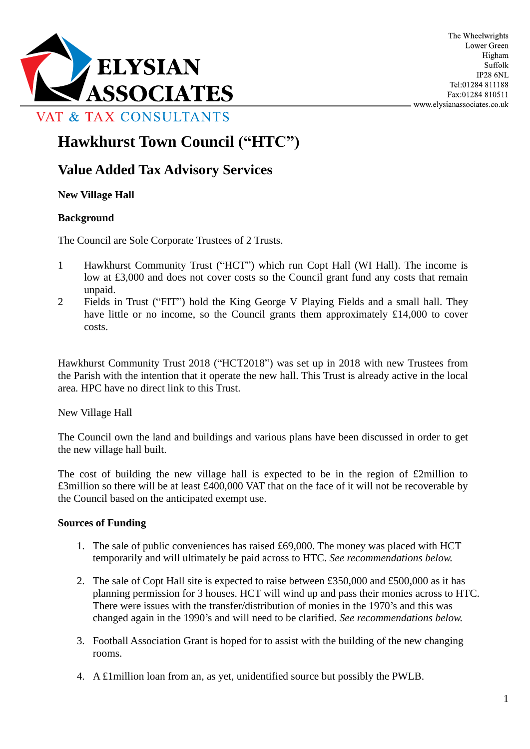

# **Hawkhurst Town Council ("HTC")**

# **Value Added Tax Advisory Services**

#### **New Village Hall**

#### **Background**

The Council are Sole Corporate Trustees of 2 Trusts.

- 1 Hawkhurst Community Trust ("HCT") which run Copt Hall (WI Hall). The income is low at £3,000 and does not cover costs so the Council grant fund any costs that remain unpaid.
- 2 Fields in Trust ("FIT") hold the King George V Playing Fields and a small hall. They have little or no income, so the Council grants them approximately £14,000 to cover costs.

Hawkhurst Community Trust 2018 ("HCT2018") was set up in 2018 with new Trustees from the Parish with the intention that it operate the new hall. This Trust is already active in the local area. HPC have no direct link to this Trust.

New Village Hall

The Council own the land and buildings and various plans have been discussed in order to get the new village hall built.

The cost of building the new village hall is expected to be in the region of  $\pounds 2$ million to £3million so there will be at least £400,000 VAT that on the face of it will not be recoverable by the Council based on the anticipated exempt use.

#### **Sources of Funding**

- 1. The sale of public conveniences has raised £69,000. The money was placed with HCT temporarily and will ultimately be paid across to HTC. *See recommendations below.*
- 2. The sale of Copt Hall site is expected to raise between £350,000 and £500,000 as it has planning permission for 3 houses. HCT will wind up and pass their monies across to HTC. There were issues with the transfer/distribution of monies in the 1970's and this was changed again in the 1990's and will need to be clarified. *See recommendations below.*
- 3. Football Association Grant is hoped for to assist with the building of the new changing rooms.
- 4. A £1million loan from an, as yet, unidentified source but possibly the PWLB.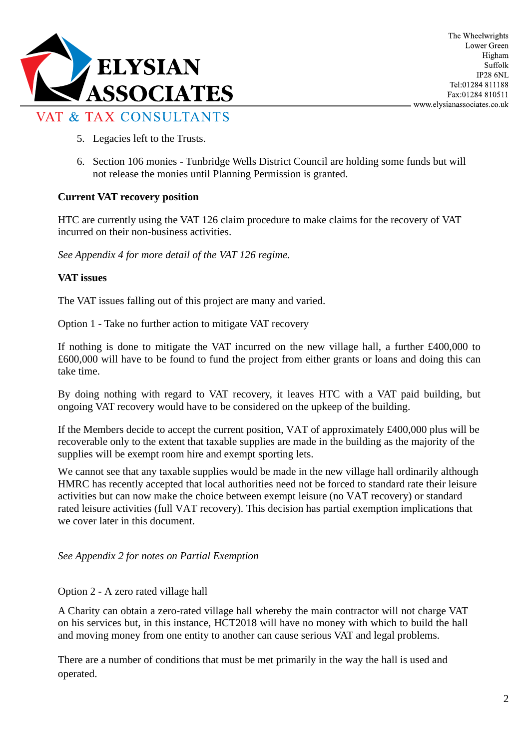

- 5. Legacies left to the Trusts.
- 6. Section 106 monies Tunbridge Wells District Council are holding some funds but will not release the monies until Planning Permission is granted.

### **Current VAT recovery position**

HTC are currently using the VAT 126 claim procedure to make claims for the recovery of VAT incurred on their non-business activities.

*See Appendix 4 for more detail of the VAT 126 regime.*

#### **VAT issues**

The VAT issues falling out of this project are many and varied.

Option 1 - Take no further action to mitigate VAT recovery

If nothing is done to mitigate the VAT incurred on the new village hall, a further £400,000 to £600,000 will have to be found to fund the project from either grants or loans and doing this can take time.

By doing nothing with regard to VAT recovery, it leaves HTC with a VAT paid building, but ongoing VAT recovery would have to be considered on the upkeep of the building.

If the Members decide to accept the current position, VAT of approximately £400,000 plus will be recoverable only to the extent that taxable supplies are made in the building as the majority of the supplies will be exempt room hire and exempt sporting lets.

We cannot see that any taxable supplies would be made in the new village hall ordinarily although HMRC has recently accepted that local authorities need not be forced to standard rate their leisure activities but can now make the choice between exempt leisure (no VAT recovery) or standard rated leisure activities (full VAT recovery). This decision has partial exemption implications that we cover later in this document.

#### *See Appendix 2 for notes on Partial Exemption*

#### Option 2 - A zero rated village hall

A Charity can obtain a zero-rated village hall whereby the main contractor will not charge VAT on his services but, in this instance, HCT2018 will have no money with which to build the hall and moving money from one entity to another can cause serious VAT and legal problems.

There are a number of conditions that must be met primarily in the way the hall is used and operated.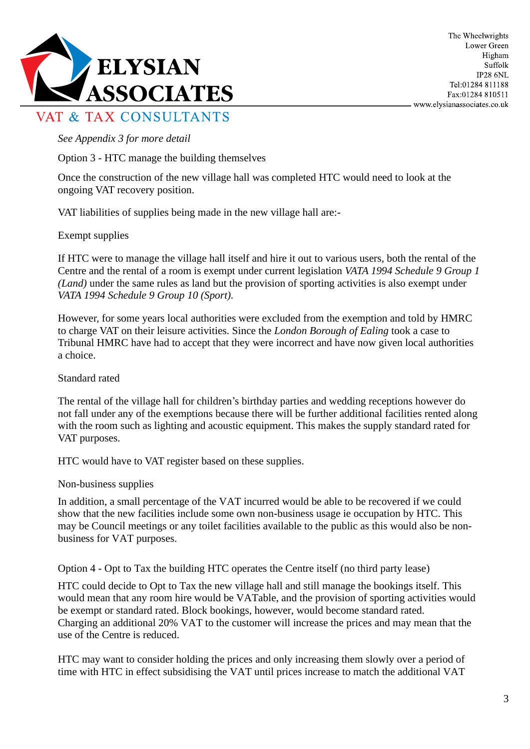

#### *See Appendix 3 for more detail*

Option 3 - HTC manage the building themselves

Once the construction of the new village hall was completed HTC would need to look at the ongoing VAT recovery position.

VAT liabilities of supplies being made in the new village hall are:-

### Exempt supplies

If HTC were to manage the village hall itself and hire it out to various users, both the rental of the Centre and the rental of a room is exempt under current legislation *VATA 1994 Schedule 9 Group 1 (Land)* under the same rules as land but the provision of sporting activities is also exempt under *VATA 1994 Schedule 9 Group 10 (Sport).*

However, for some years local authorities were excluded from the exemption and told by HMRC to charge VAT on their leisure activities. Since the *London Borough of Ealing* took a case to Tribunal HMRC have had to accept that they were incorrect and have now given local authorities a choice.

Standard rated

The rental of the village hall for children's birthday parties and wedding receptions however do not fall under any of the exemptions because there will be further additional facilities rented along with the room such as lighting and acoustic equipment. This makes the supply standard rated for VAT purposes.

HTC would have to VAT register based on these supplies.

Non-business supplies

In addition, a small percentage of the VAT incurred would be able to be recovered if we could show that the new facilities include some own non-business usage ie occupation by HTC. This may be Council meetings or any toilet facilities available to the public as this would also be nonbusiness for VAT purposes.

Option 4 - Opt to Tax the building HTC operates the Centre itself (no third party lease)

HTC could decide to Opt to Tax the new village hall and still manage the bookings itself. This would mean that any room hire would be VATable, and the provision of sporting activities would be exempt or standard rated. Block bookings, however, would become standard rated. Charging an additional 20% VAT to the customer will increase the prices and may mean that the use of the Centre is reduced.

HTC may want to consider holding the prices and only increasing them slowly over a period of time with HTC in effect subsidising the VAT until prices increase to match the additional VAT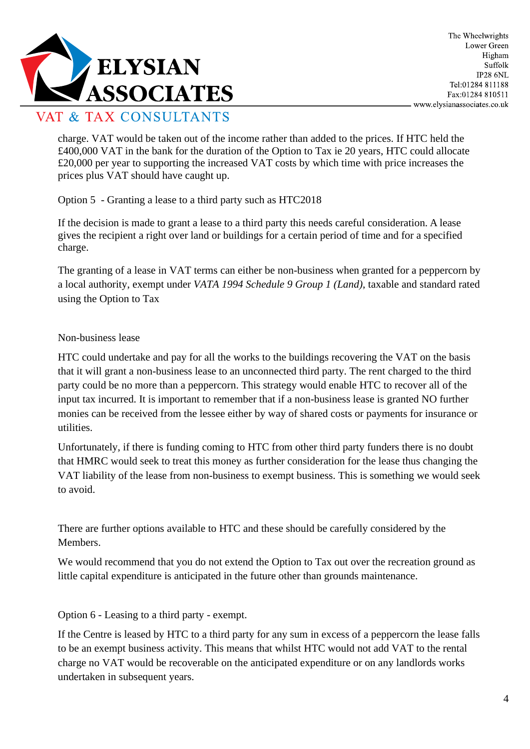

charge. VAT would be taken out of the income rather than added to the prices. If HTC held the £400,000 VAT in the bank for the duration of the Option to Tax ie 20 years, HTC could allocate £20,000 per year to supporting the increased VAT costs by which time with price increases the prices plus VAT should have caught up.

Option 5 - Granting a lease to a third party such as HTC2018

If the decision is made to grant a lease to a third party this needs careful consideration. A lease gives the recipient a right over land or buildings for a certain period of time and for a specified charge.

The granting of a lease in VAT terms can either be non-business when granted for a peppercorn by a local authority, exempt under *VATA 1994 Schedule 9 Group 1 (Land)*, taxable and standard rated using the Option to Tax

### Non-business lease

HTC could undertake and pay for all the works to the buildings recovering the VAT on the basis that it will grant a non-business lease to an unconnected third party. The rent charged to the third party could be no more than a peppercorn. This strategy would enable HTC to recover all of the input tax incurred. It is important to remember that if a non-business lease is granted NO further monies can be received from the lessee either by way of shared costs or payments for insurance or utilities.

Unfortunately, if there is funding coming to HTC from other third party funders there is no doubt that HMRC would seek to treat this money as further consideration for the lease thus changing the VAT liability of the lease from non-business to exempt business. This is something we would seek to avoid.

There are further options available to HTC and these should be carefully considered by the Members.

We would recommend that you do not extend the Option to Tax out over the recreation ground as little capital expenditure is anticipated in the future other than grounds maintenance.

Option 6 - Leasing to a third party - exempt.

If the Centre is leased by HTC to a third party for any sum in excess of a peppercorn the lease falls to be an exempt business activity. This means that whilst HTC would not add VAT to the rental charge no VAT would be recoverable on the anticipated expenditure or on any landlords works undertaken in subsequent years.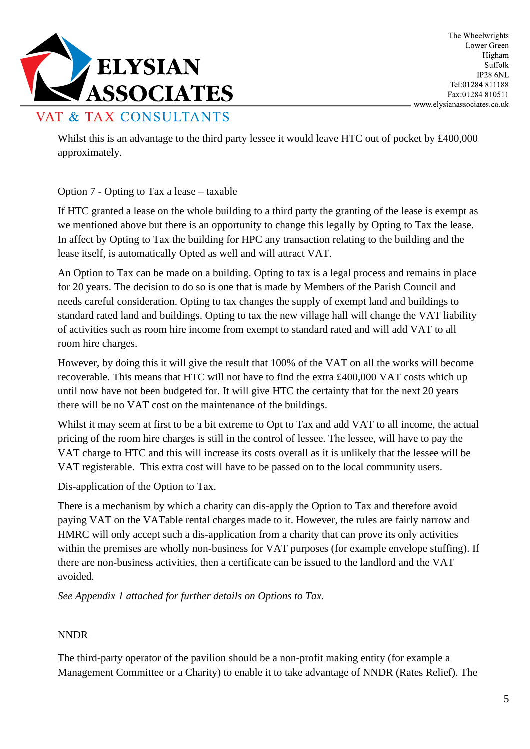

Whilst this is an advantage to the third party lessee it would leave HTC out of pocket by £400,000 approximately.

Option 7 - Opting to Tax a lease – taxable

If HTC granted a lease on the whole building to a third party the granting of the lease is exempt as we mentioned above but there is an opportunity to change this legally by Opting to Tax the lease. In affect by Opting to Tax the building for HPC any transaction relating to the building and the lease itself, is automatically Opted as well and will attract VAT.

An Option to Tax can be made on a building. Opting to tax is a legal process and remains in place for 20 years. The decision to do so is one that is made by Members of the Parish Council and needs careful consideration. Opting to tax changes the supply of exempt land and buildings to standard rated land and buildings. Opting to tax the new village hall will change the VAT liability of activities such as room hire income from exempt to standard rated and will add VAT to all room hire charges.

However, by doing this it will give the result that 100% of the VAT on all the works will become recoverable. This means that HTC will not have to find the extra £400,000 VAT costs which up until now have not been budgeted for. It will give HTC the certainty that for the next 20 years there will be no VAT cost on the maintenance of the buildings.

Whilst it may seem at first to be a bit extreme to Opt to Tax and add VAT to all income, the actual pricing of the room hire charges is still in the control of lessee. The lessee, will have to pay the VAT charge to HTC and this will increase its costs overall as it is unlikely that the lessee will be VAT registerable. This extra cost will have to be passed on to the local community users.

Dis-application of the Option to Tax.

There is a mechanism by which a charity can dis-apply the Option to Tax and therefore avoid paying VAT on the VATable rental charges made to it. However, the rules are fairly narrow and HMRC will only accept such a dis-application from a charity that can prove its only activities within the premises are wholly non-business for VAT purposes (for example envelope stuffing). If there are non-business activities, then a certificate can be issued to the landlord and the VAT avoided.

*See Appendix 1 attached for further details on Options to Tax.*

#### NNDR

The third-party operator of the pavilion should be a non-profit making entity (for example a Management Committee or a Charity) to enable it to take advantage of NNDR (Rates Relief). The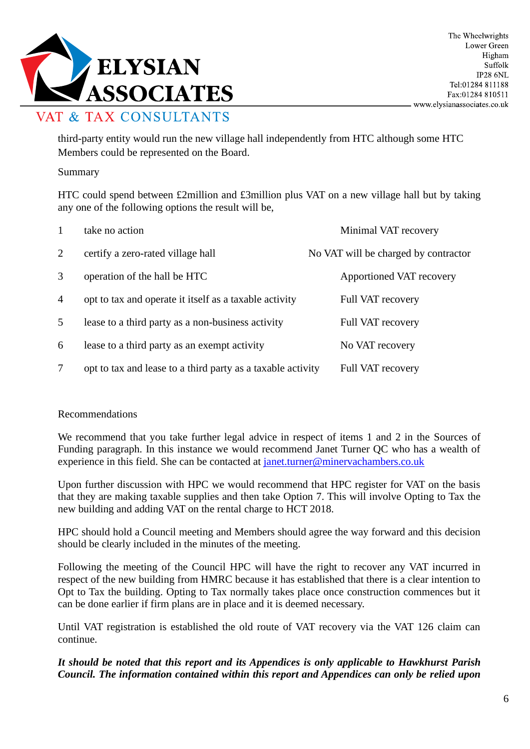

third-party entity would run the new village hall independently from HTC although some HTC Members could be represented on the Board.

#### Summary

HTC could spend between £2million and £3million plus VAT on a new village hall but by taking any one of the following options the result will be,

| 1              | take no action                                              | Minimal VAT recovery                 |
|----------------|-------------------------------------------------------------|--------------------------------------|
| 2              | certify a zero-rated village hall                           | No VAT will be charged by contractor |
| 3              | operation of the hall be HTC                                | Apportioned VAT recovery             |
| $\overline{4}$ | opt to tax and operate it itself as a taxable activity      | <b>Full VAT recovery</b>             |
| 5              | lease to a third party as a non-business activity           | <b>Full VAT recovery</b>             |
| 6              | lease to a third party as an exempt activity                | No VAT recovery                      |
| 7              | opt to tax and lease to a third party as a taxable activity | <b>Full VAT recovery</b>             |

#### Recommendations

We recommend that you take further legal advice in respect of items 1 and 2 in the Sources of Funding paragraph. In this instance we would recommend Janet Turner QC who has a wealth of experience in this field. She can be contacted at [janet.turner@minervachambers.co.uk](mailto:janet.turner@minervachambers.co.uk)

Upon further discussion with HPC we would recommend that HPC register for VAT on the basis that they are making taxable supplies and then take Option 7. This will involve Opting to Tax the new building and adding VAT on the rental charge to HCT 2018.

HPC should hold a Council meeting and Members should agree the way forward and this decision should be clearly included in the minutes of the meeting.

Following the meeting of the Council HPC will have the right to recover any VAT incurred in respect of the new building from HMRC because it has established that there is a clear intention to Opt to Tax the building. Opting to Tax normally takes place once construction commences but it can be done earlier if firm plans are in place and it is deemed necessary.

Until VAT registration is established the old route of VAT recovery via the VAT 126 claim can continue.

### *It should be noted that this report and its Appendices is only applicable to Hawkhurst Parish Council. The information contained within this report and Appendices can only be relied upon*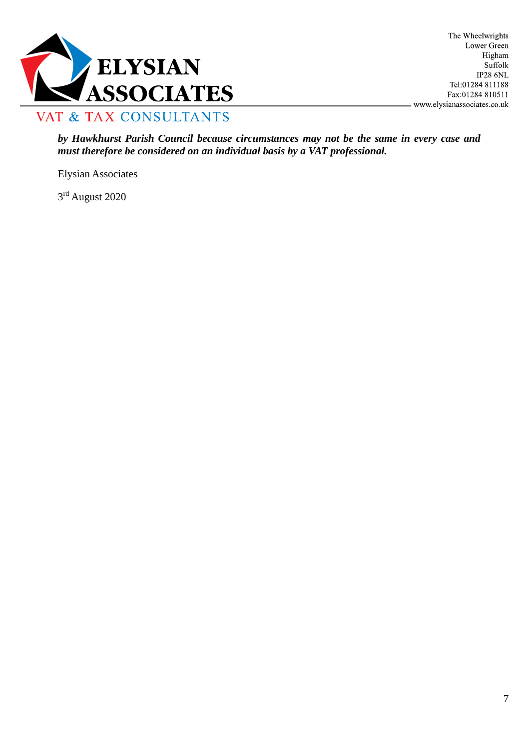

*by Hawkhurst Parish Council because circumstances may not be the same in every case and must therefore be considered on an individual basis by a VAT professional.*

Elysian Associates

3rd August 2020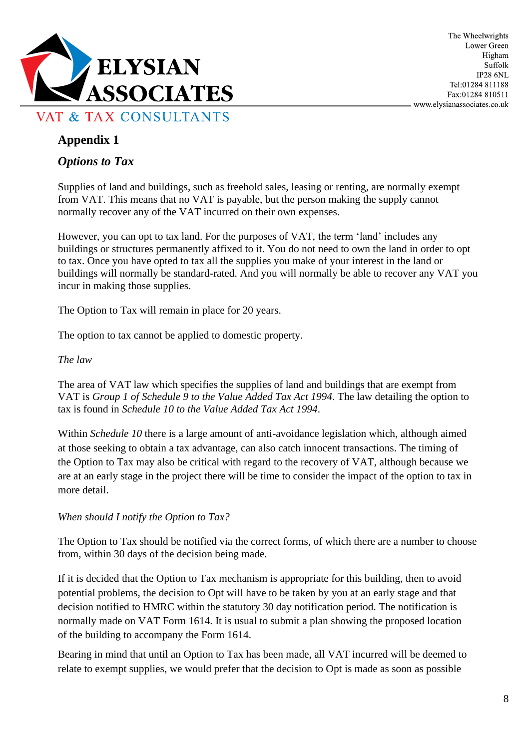

### *Options to Tax*

Supplies of land and buildings, such as freehold sales, leasing or renting, are normally exempt from VAT. This means that no VAT is payable, but the person making the supply cannot normally recover any of the VAT incurred on their own expenses.

However, you can opt to tax land. For the purposes of VAT, the term 'land' includes any buildings or structures permanently affixed to it. You do not need to own the land in order to opt to tax. Once you have opted to tax all the supplies you make of your interest in the land or buildings will normally be standard-rated. And you will normally be able to recover any VAT you incur in making those supplies.

The Option to Tax will remain in place for 20 years.

The option to tax cannot be applied to domestic property.

#### *The law*

The area of VAT law which specifies the supplies of land and buildings that are exempt from VAT is *Group 1 of Schedule 9 to the Value Added Tax Act 1994*. The law detailing the option to tax is found in *Schedule 10 to the Value Added Tax Act 1994*.

Within *Schedule 10* there is a large amount of anti-avoidance legislation which, although aimed at those seeking to obtain a tax advantage, can also catch innocent transactions. The timing of the Option to Tax may also be critical with regard to the recovery of VAT, although because we are at an early stage in the project there will be time to consider the impact of the option to tax in more detail.

*When should I notify the Option to Tax?*

The Option to Tax should be notified via the correct forms, of which there are a number to choose from, within 30 days of the decision being made.

If it is decided that the Option to Tax mechanism is appropriate for this building, then to avoid potential problems, the decision to Opt will have to be taken by you at an early stage and that decision notified to HMRC within the statutory 30 day notification period. The notification is normally made on VAT Form 1614. It is usual to submit a plan showing the proposed location of the building to accompany the Form 1614.

Bearing in mind that until an Option to Tax has been made, all VAT incurred will be deemed to relate to exempt supplies, we would prefer that the decision to Opt is made as soon as possible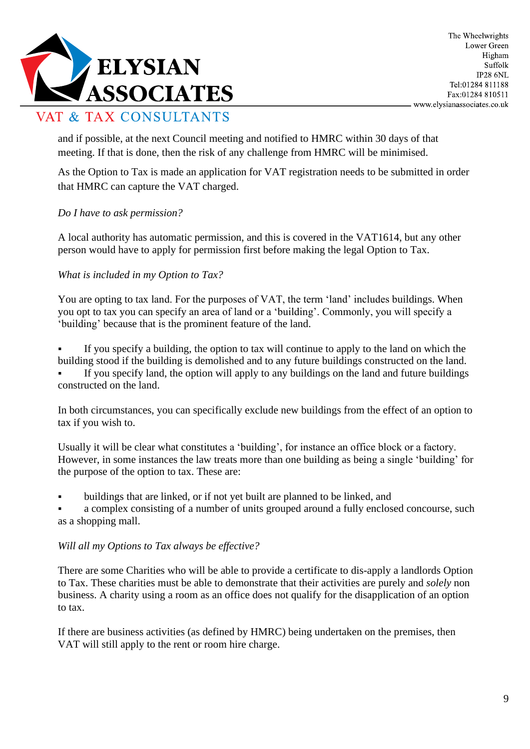

and if possible, at the next Council meeting and notified to HMRC within 30 days of that meeting. If that is done, then the risk of any challenge from HMRC will be minimised.

As the Option to Tax is made an application for VAT registration needs to be submitted in order that HMRC can capture the VAT charged.

### *Do I have to ask permission?*

A local authority has automatic permission, and this is covered in the VAT1614, but any other person would have to apply for permission first before making the legal Option to Tax.

### *What is included in my Option to Tax?*

You are opting to tax land. For the purposes of VAT, the term 'land' includes buildings. When you opt to tax you can specify an area of land or a 'building'. Commonly, you will specify a 'building' because that is the prominent feature of the land.

**•** If you specify a building, the option to tax will continue to apply to the land on which the building stood if the building is demolished and to any future buildings constructed on the land. If you specify land, the option will apply to any buildings on the land and future buildings constructed on the land.

In both circumstances, you can specifically exclude new buildings from the effect of an option to tax if you wish to.

Usually it will be clear what constitutes a 'building', for instance an office block or a factory. However, in some instances the law treats more than one building as being a single 'building' for the purpose of the option to tax. These are:

buildings that are linked, or if not yet built are planned to be linked, and

a complex consisting of a number of units grouped around a fully enclosed concourse, such as a shopping mall.

#### *Will all my Options to Tax always be effective?*

There are some Charities who will be able to provide a certificate to dis-apply a landlords Option to Tax. These charities must be able to demonstrate that their activities are purely and *solely* non business. A charity using a room as an office does not qualify for the disapplication of an option to tax.

If there are business activities (as defined by HMRC) being undertaken on the premises, then VAT will still apply to the rent or room hire charge.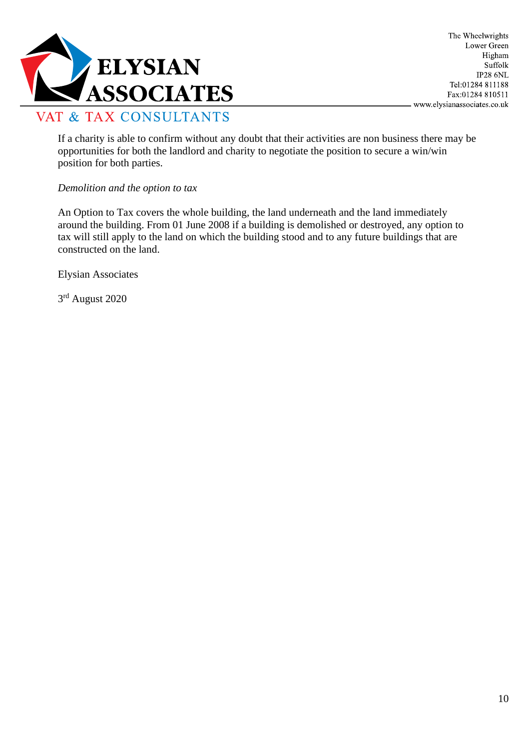

If a charity is able to confirm without any doubt that their activities are non business there may be opportunities for both the landlord and charity to negotiate the position to secure a win/win position for both parties.

#### *Demolition and the option to tax*

An Option to Tax covers the whole building, the land underneath and the land immediately around the building. From 01 June 2008 if a building is demolished or destroyed, any option to tax will still apply to the land on which the building stood and to any future buildings that are constructed on the land.

Elysian Associates

3rd August 2020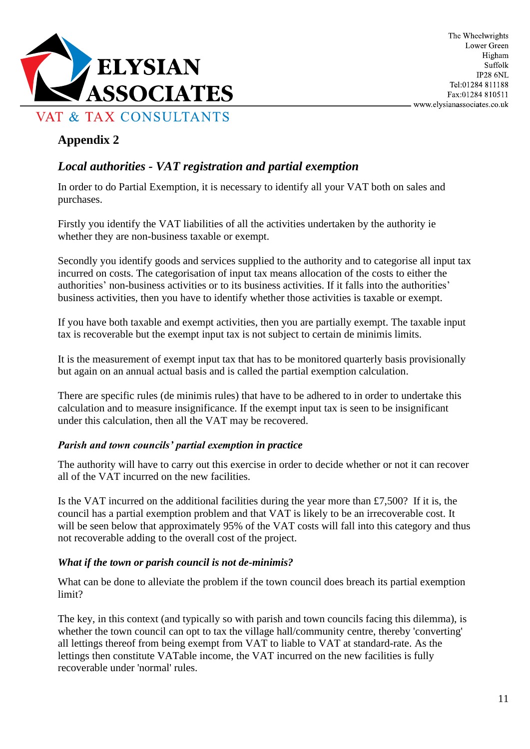

### *Local authorities - VAT registration and partial exemption*

In order to do Partial Exemption, it is necessary to identify all your VAT both on sales and purchases.

Firstly you identify the VAT liabilities of all the activities undertaken by the authority ie whether they are non-business taxable or exempt.

Secondly you identify goods and services supplied to the authority and to categorise all input tax incurred on costs. The categorisation of input tax means allocation of the costs to either the authorities' non-business activities or to its business activities. If it falls into the authorities' business activities, then you have to identify whether those activities is taxable or exempt.

If you have both taxable and exempt activities, then you are partially exempt. The taxable input tax is recoverable but the exempt input tax is not subject to certain de minimis limits.

It is the measurement of exempt input tax that has to be monitored quarterly basis provisionally but again on an annual actual basis and is called the partial exemption calculation.

There are specific rules (de minimis rules) that have to be adhered to in order to undertake this calculation and to measure insignificance. If the exempt input tax is seen to be insignificant under this calculation, then all the VAT may be recovered.

#### *Parish and town councils' partial exemption in practice*

The authority will have to carry out this exercise in order to decide whether or not it can recover all of the VAT incurred on the new facilities.

Is the VAT incurred on the additional facilities during the year more than £7,500? If it is, the council has a partial exemption problem and that VAT is likely to be an irrecoverable cost. It will be seen below that approximately 95% of the VAT costs will fall into this category and thus not recoverable adding to the overall cost of the project.

#### *What if the town or parish council is not de-minimis?*

What can be done to alleviate the problem if the town council does breach its partial exemption limit?

The key, in this context (and typically so with parish and town councils facing this dilemma), is whether the town council can opt to tax the village hall/community centre, thereby 'converting' all lettings thereof from being exempt from VAT to liable to VAT at standard-rate. As the lettings then constitute VATable income, the VAT incurred on the new facilities is fully recoverable under 'normal' rules.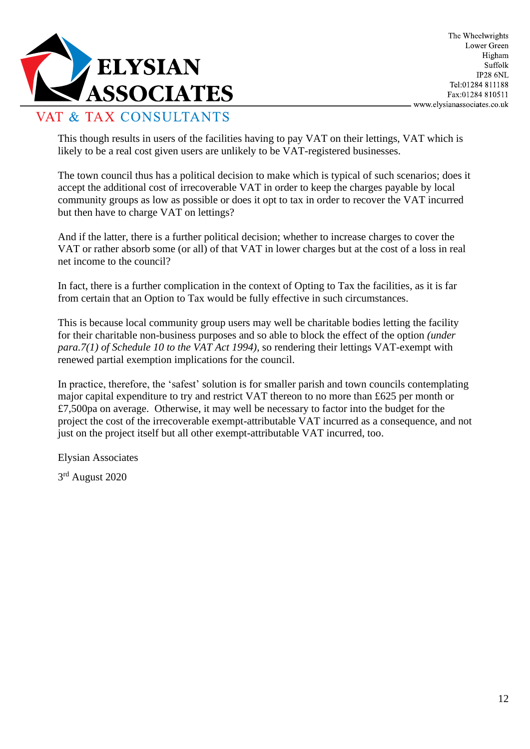

This though results in users of the facilities having to pay VAT on their lettings, VAT which is likely to be a real cost given users are unlikely to be VAT-registered businesses.

The town council thus has a political decision to make which is typical of such scenarios; does it accept the additional cost of irrecoverable VAT in order to keep the charges payable by local community groups as low as possible or does it opt to tax in order to recover the VAT incurred but then have to charge VAT on lettings?

And if the latter, there is a further political decision; whether to increase charges to cover the VAT or rather absorb some (or all) of that VAT in lower charges but at the cost of a loss in real net income to the council?

In fact, there is a further complication in the context of Opting to Tax the facilities, as it is far from certain that an Option to Tax would be fully effective in such circumstances.

This is because local community group users may well be charitable bodies letting the facility for their charitable non-business purposes and so able to block the effect of the option *(under para.7(1) of Schedule 10 to the VAT Act 1994)*, so rendering their lettings VAT-exempt with renewed partial exemption implications for the council.

In practice, therefore, the 'safest' solution is for smaller parish and town councils contemplating major capital expenditure to try and restrict VAT thereon to no more than £625 per month or £7,500pa on average. Otherwise, it may well be necessary to factor into the budget for the project the cost of the irrecoverable exempt-attributable VAT incurred as a consequence, and not just on the project itself but all other exempt-attributable VAT incurred, too.

Elysian Associates

3rd August 2020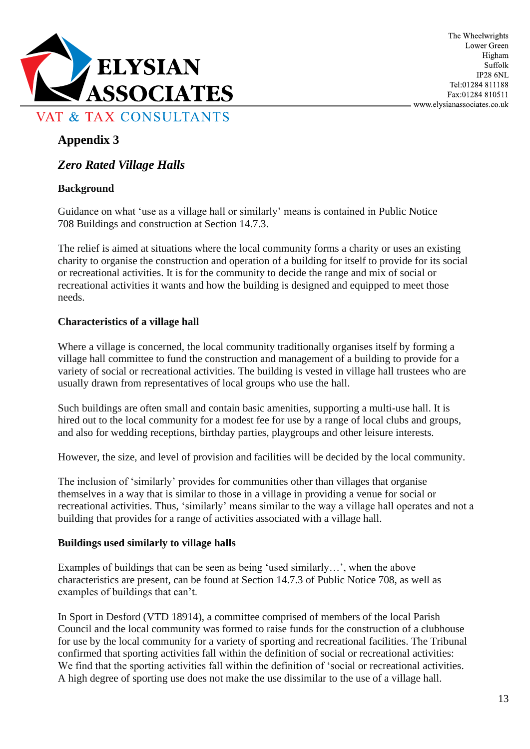

### *Zero Rated Village Halls*

### **Background**

Guidance on what 'use as a village hall or similarly' means is contained in Public [Notice](http://customs.hmrc.gov.uk/channelsPortalWebApp/channelsPortalWebApp.portal?_nfpb=true&_pageLabel=pageLibrary_ShowContent&propertyType=document&columns=1&id=HMCE_CL_000513) [708](http://customs.hmrc.gov.uk/channelsPortalWebApp/channelsPortalWebApp.portal?_nfpb=true&_pageLabel=pageLibrary_ShowContent&propertyType=document&columns=1&id=HMCE_CL_000513) Buildings and construction at Section 14.7.3.

The relief is aimed at situations where the local community forms a charity or uses an existing charity to organise the construction and operation of a building for itself to provide for its social or recreational activities. It is for the community to decide the range and mix of social or recreational activities it wants and how the building is designed and equipped to meet those needs.

### **Characteristics of a village hall**

Where a village is concerned, the local community traditionally organises itself by forming a village hall committee to fund the construction and management of a building to provide for a variety of social or recreational activities. The building is vested in village hall trustees who are usually drawn from representatives of local groups who use the hall.

Such buildings are often small and contain basic amenities, supporting a multi-use hall. It is hired out to the local community for a modest fee for use by a range of local clubs and groups, and also for wedding receptions, birthday parties, playgroups and other leisure interests.

However, the size, and level of provision and facilities will be decided by the local community.

The inclusion of 'similarly' provides for communities other than villages that organise themselves in a way that is similar to those in a village in providing a venue for social or recreational activities. Thus, 'similarly' means similar to the way a village hall operates and not a building that provides for a range of activities associated with a village hall.

#### **Buildings used similarly to village halls**

Examples of buildings that can be seen as being 'used similarly…', when the above characteristics are present, can be found at Section 14.7.3 of Public Notice 708, as well as examples of buildings that can't.

In Sport in Desford (VTD 18914), a committee comprised of members of the local Parish Council and the local community was formed to raise funds for the construction of a clubhouse for use by the local community for a variety of sporting and recreational facilities. The Tribunal confirmed that sporting activities fall within the definition of social or recreational activities: We find that the sporting activities fall within the definition of 'social or recreational activities. A high degree of sporting use does not make the use dissimilar to the use of a village hall.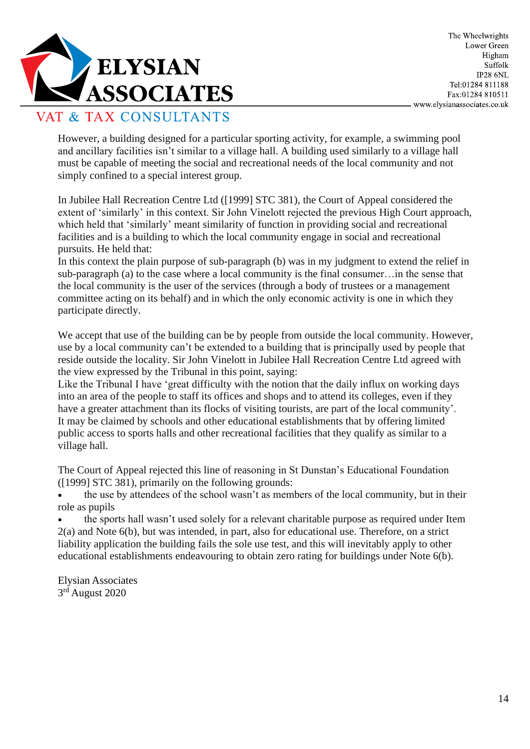

However, a building designed for a particular sporting activity, for example, a swimming pool and ancillary facilities isn't similar to a village hall. A building used similarly to a village hall must be capable of meeting the social and recreational needs of the local community and not simply confined to a special interest group.

In Jubilee Hall Recreation Centre Ltd ([1999] STC 381), the Court of Appeal considered the extent of 'similarly' in this context. Sir John Vinelott rejected the previous High Court approach, which held that 'similarly' meant similarity of function in providing social and recreational facilities and is a building to which the local community engage in social and recreational pursuits. He held that:

In this context the plain purpose of sub-paragraph (b) was in my judgment to extend the relief in sub-paragraph (a) to the case where a local community is the final consumer…in the sense that the local community is the user of the services (through a body of trustees or a management committee acting on its behalf) and in which the only economic activity is one in which they participate directly.

We accept that use of the building can be by people from outside the local community. However, use by a local community can't be extended to a building that is principally used by people that reside outside the locality. Sir John Vinelott in Jubilee Hall Recreation Centre Ltd agreed with the view expressed by the Tribunal in this point, saying:

Like the Tribunal I have 'great difficulty with the notion that the daily influx on working days into an area of the people to staff its offices and shops and to attend its colleges, even if they have a greater attachment than its flocks of visiting tourists, are part of the local community'. It may be claimed by schools and other educational establishments that by offering limited public access to sports halls and other recreational facilities that they qualify as similar to a village hall.

The Court of Appeal rejected this line of reasoning in St Dunstan's Educational Foundation ([1999] STC 381), primarily on the following grounds:

• the use by attendees of the school wasn't as members of the local community, but in their role as pupils

• the sports hall wasn't used solely for a relevant charitable purpose as required under Item 2(a) and Note 6(b), but was intended, in part, also for educational use. Therefore, on a strict liability application the building fails the sole use test, and this will inevitably apply to other educational establishments endeavouring to obtain zero rating for buildings under Note 6(b).

Elysian Associates 3rd August 2020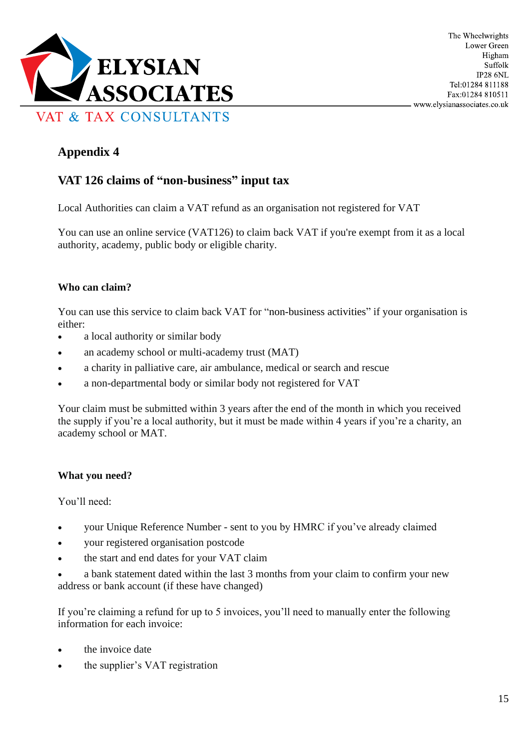

# **VAT 126 claims of "non-business" input tax**

Local Authorities can claim a VAT refund as an organisation not registered for VAT

You can use an online service (VAT126) to claim back VAT if you're exempt from it as a local authority, academy, public body or eligible charity.

### **Who can claim?**

You can use this service to claim back VAT for "non-business activities" if your organisation is either:

- a local authority or similar body
- an academy school or multi-academy trust (MAT)
- a charity in palliative care, air ambulance, medical or search and rescue
- a non-departmental body or similar body not registered for VAT

Your claim must be submitted within 3 years after the end of the month in which you received the supply if you're a local authority, but it must be made within 4 years if you're a charity, an academy school or MAT.

### **What you need?**

You'll need:

- your Unique Reference Number sent to you by HMRC if you've already claimed
- your registered organisation postcode
- the start and end dates for your VAT claim
- a bank statement dated within the last 3 months from your claim to confirm your new address or bank account (if these have changed)

If you're claiming a refund for up to 5 invoices, you'll need to manually enter the following information for each invoice:

- the invoice date
- the supplier's VAT registration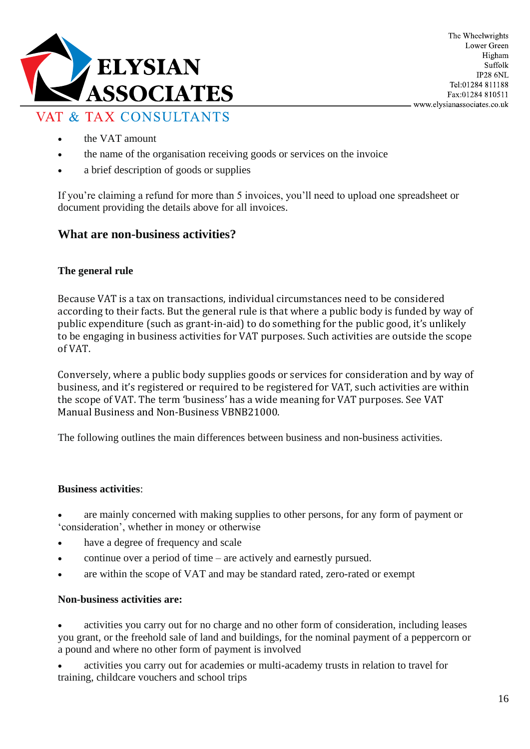

The Wheelwrights Lower Green Higham Suffolk **IP28 6NL** Tel:01284 811188 Fax:01284 810511 www.elysianassociates.co.uk

### VAT & TAX CONSULTANTS

- the VAT amount
- the name of the organisation receiving goods or services on the invoice
- a brief description of goods or supplies

If you're claiming a refund for more than 5 invoices, you'll need to upload one spreadsheet or document providing the details above for all invoices.

### **What are non-business activities?**

#### **The general rule**

Because VAT is a tax on transactions, individual circumstances need to be considered according to their facts. But the general rule is that where a public body is funded by way of public expenditure (such as grant-in-aid) to do something for the public good, it's unlikely to be engaging in business activities for VAT purposes. Such activities are outside the scope of VAT.

Conversely, where a public body supplies goods or services for consideration and by way of business, and it's registered or required to be registered for VAT, such activities are within the scope of VAT. The term 'business' has a wide meaning for VAT purposes. See [VAT](https://www.gov.uk/hmrc-internal-manuals/vat-business-non-business/vbnb21000) Manual Business and [Non-Business](https://www.gov.uk/hmrc-internal-manuals/vat-business-non-business/vbnb21000) VBNB21000.

The following outlines the main differences between business and non-business activities.

#### **Business activities**:

are mainly concerned with making supplies to other persons, for any form of payment or 'consideration', whether in money or otherwise

- have a degree of frequency and scale
- continue over a period of time are actively and earnestly pursued.
- are within the scope of VAT and may be standard rated, zero-rated or exempt

#### **Non-business activities are:**

• activities you carry out for no charge and no other form of consideration, including leases you grant, or the freehold sale of land and buildings, for the nominal payment of a peppercorn or a pound and where no other form of payment is involved

• activities you carry out for academies or multi-academy trusts in relation to travel for training, childcare vouchers and school trips